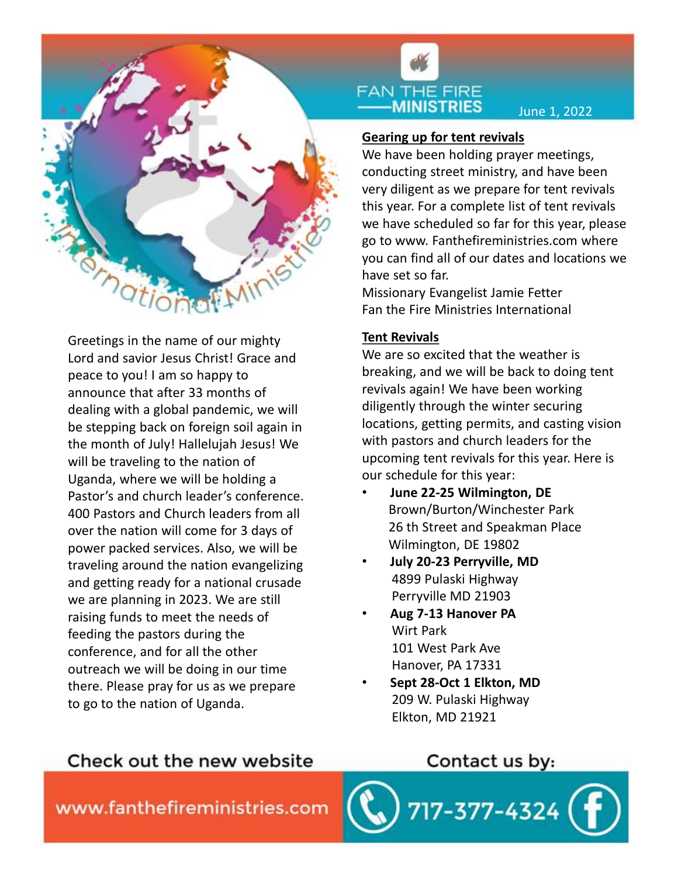

Greetings in the name of our mighty Lord and savior Jesus Christ! Grace and peace to you! I am so happy to announce that after 33 months of dealing with a global pandemic, we will be stepping back on foreign soil again in the month of July! Hallelujah Jesus! We will be traveling to the nation of Uganda, where we will be holding a Pastor's and church leader's conference. 400 Pastors and Church leaders from all over the nation will come for 3 days of power packed services. Also, we will be traveling around the nation evangelizing and getting ready for a national crusade we are planning in 2023. We are still raising funds to meet the needs of feeding the pastors during the conference, and for all the other outreach we will be doing in our time there. Please pray for us as we prepare to go to the nation of Uganda.



June 1, 2022

# Gearing up for tent revivals

We have been holding prayer meetings, conducting street ministry, and have been very diligent as we prepare for tent revivals this year. For a complete list of tent revivals we have scheduled so far for this year, please go to www. Fanthefireministries.com where you can find all of our dates and locations we have set so far.

Missionary Evangelist Jamie Fetter Fan the Fire Ministries International

## Tent Revivals

We are so excited that the weather is breaking, and we will be back to doing tent revivals again! We have been working diligently through the winter securing locations, getting permits, and casting vision with pastors and church leaders for the upcoming tent revivals for this year. Here is our schedule for this year: can find all of our dates and locations we<br>set so far.<br>ionary Evangelist Jamie Fetter<br>the Fire Ministries International<br>**Revivals**<br>are so excited that the weather is<br>king, and we will be back to doing tent<br>rals again! We h

- June 22-25 Wilmington, DE Brown/Burton/Winchester Park Wilmington, DE 19802
- July 20-23 Perryville, MD 4899 Pulaski Highway Perryville MD 21903
- Aug 7-13 Hanover PA Wirt Park 101 West Park Ave Hanover, PA 17331
- Sept 28-Oct 1 Elkton, MD 209 W. Pulaski Highway Elkton, MD 21921

# Check out the new website

Contact us by:

7-377-4324

www.fanthefireministries.com